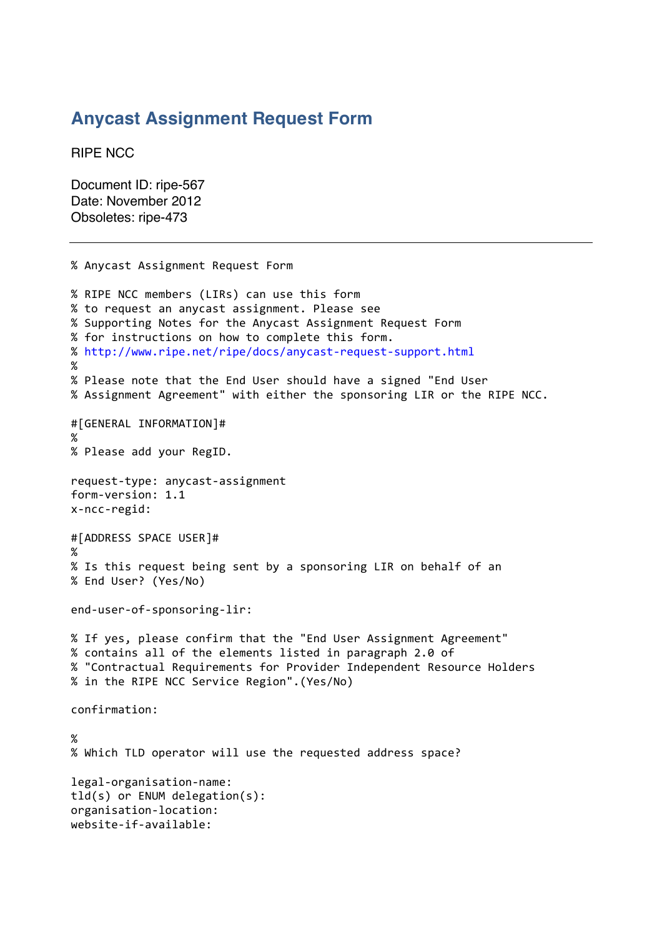## **Anycast Assignment Request Form**

RIPE NCC

Document ID: ripe-567 Date: November 2012 Obsoletes: ripe-473

```
%"Anycast"Assignment"Request"Form
% RIPE NCC members (LIRs) can use this form
% to request an anycast assignment. Please see
%"Supporting"Notes"for"the"Anycast"Assignment"Request"Form"
% for instructions on how to complete this form.
% http://www.ripe.net/ripe/docs/anycast-request-support.html
%
% Please note that the End User should have a signed "End User
% Assignment Agreement" with either the sponsoring LIR or the RIPE NCC.
#[GENERAL"INFORMATION]#
%
% Please add your RegID.
request-type: anycast-assignment
form-version: 1.1
x-ncc-<i>regid</i>:#[ADDRESS SPACE USER]#
%
% Is this request being sent by a sponsoring LIR on behalf of an
% End User? (Yes/No)
end-user-of-sponsoring-lir:
% If yes, please confirm that the "End User Assignment Agreement"
% contains all of the elements listed in paragraph 2.0 of
% "Contractual Requirements for Provider Independent Resource Holders
% in the RIPE NCC Service Region". (Yes/No)
confirmation:
%
% Which TLD operator will use the requested address space?
legal-organisation-name:
tld(s) or ENUM delegation(s):
organisation-location:
website-if-avoidable:
```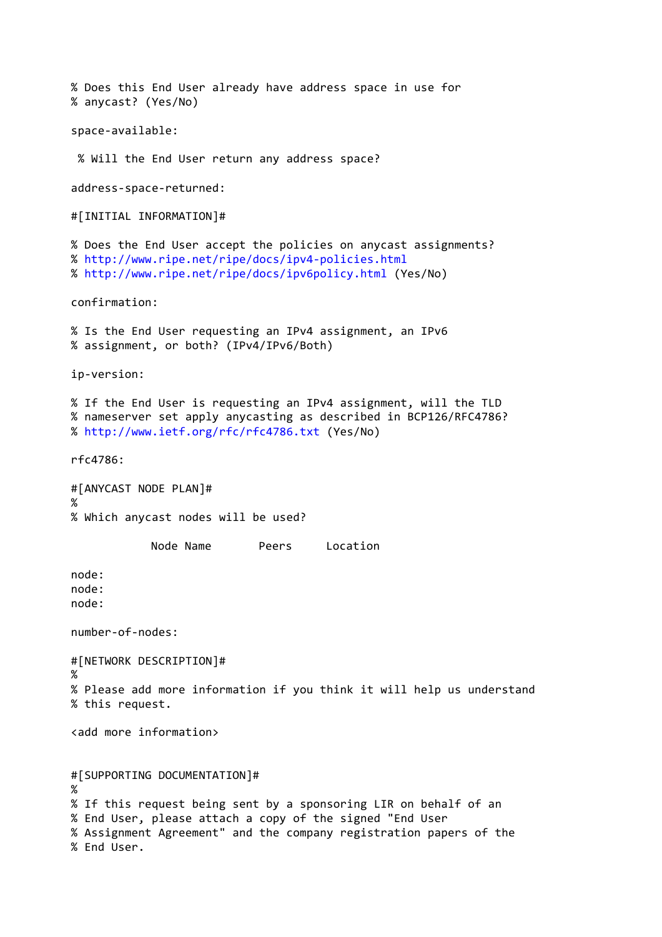```
% Does this End User already have address space in use for
%"anycast?"(Yes/No)
space-available:
% Will the End User return any address space?
address-space-returned:
#[INITIAL INFORMATION]#
% Does the End User accept the policies on anycast assignments?
% http://www.ripe.net/ripe/docs/ipv4-policies.html
%"http://www.ripe.net/ripe/docs/ipv6policy.html (Yes/No)
confirmation:
% Is the End User requesting an IPv4 assignment, an IPv6
% assignment, or both? (IPv4/IPv6/Both)
ip-version:
% If the End User is requesting an IPv4 assignment, will the TLD
% nameserver set apply anycasting as described in BCP126/RFC4786?
%"http://www.ietf.org/rfc/rfc4786.txt (Yes/No)
rfc4786:"
#[ANYCAST NODE PLAN]#
%
% Which anycast nodes will be used?
            Node Name "" " Peers " Location
node:
node:
node:
number-of-nodes:
#[NETWORK"DESCRIPTION]#
%
% Please add more information if you think it will help us understand
% this request.
<add more information>
#[SUPPORTING DOCUMENTATION]#
%
% If this request being sent by a sponsoring LIR on behalf of an
% End User, please attach a copy of the signed "End User
% Assignment Agreement" and the company registration papers of the
% End User.
```